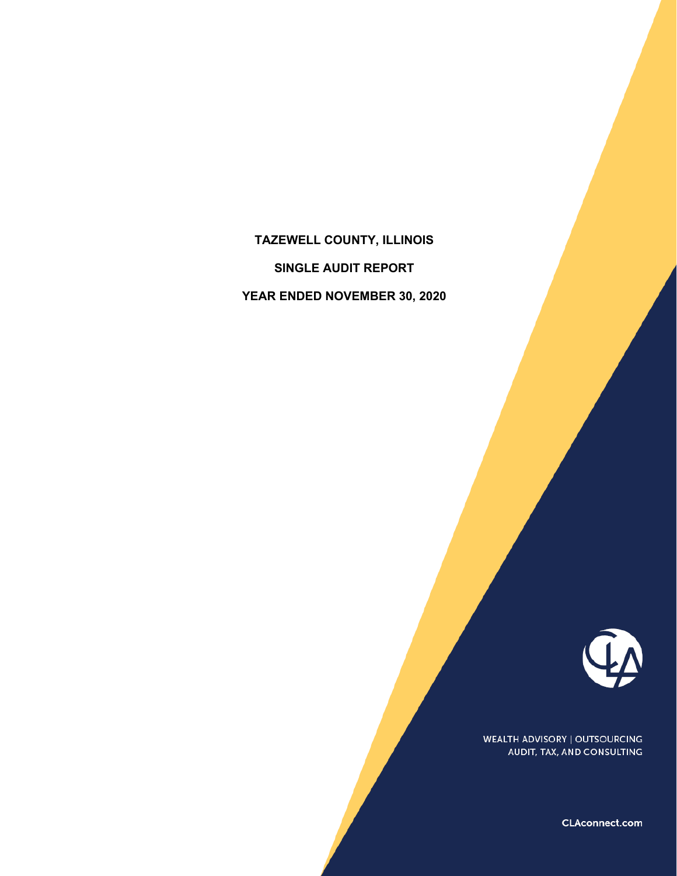# **TAZEWELL COUNTY, ILLINOIS SINGLE AUDIT REPORT YEAR ENDED NOVEMBER 30, 2020**



WEALTH ADVISORY | OUTSOURCING AUDIT, TAX, AND CONSULTING

CLAconnect.com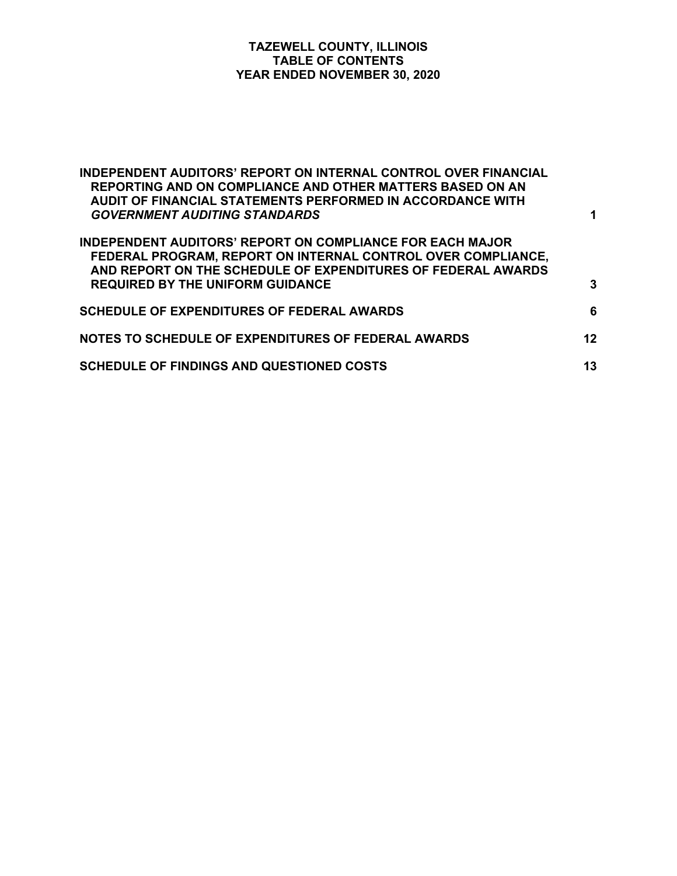#### **TAZEWELL COUNTY, ILLINOIS TABLE OF CONTENTS YEAR ENDED NOVEMBER 30, 2020**

| <b>INDEPENDENT AUDITORS' REPORT ON INTERNAL CONTROL OVER FINANCIAL</b><br>REPORTING AND ON COMPLIANCE AND OTHER MATTERS BASED ON AN<br>AUDIT OF FINANCIAL STATEMENTS PERFORMED IN ACCORDANCE WITH<br><b>GOVERNMENT AUDITING STANDARDS</b>   | 1  |
|---------------------------------------------------------------------------------------------------------------------------------------------------------------------------------------------------------------------------------------------|----|
| <b>INDEPENDENT AUDITORS' REPORT ON COMPLIANCE FOR EACH MAJOR</b><br>FEDERAL PROGRAM, REPORT ON INTERNAL CONTROL OVER COMPLIANCE,<br>AND REPORT ON THE SCHEDULE OF EXPENDITURES OF FEDERAL AWARDS<br><b>REQUIRED BY THE UNIFORM GUIDANCE</b> | 3  |
| <b>SCHEDULE OF EXPENDITURES OF FEDERAL AWARDS</b>                                                                                                                                                                                           | 6  |
| NOTES TO SCHEDULE OF EXPENDITURES OF FEDERAL AWARDS                                                                                                                                                                                         | 12 |
| <b>SCHEDULE OF FINDINGS AND QUESTIONED COSTS</b>                                                                                                                                                                                            | 13 |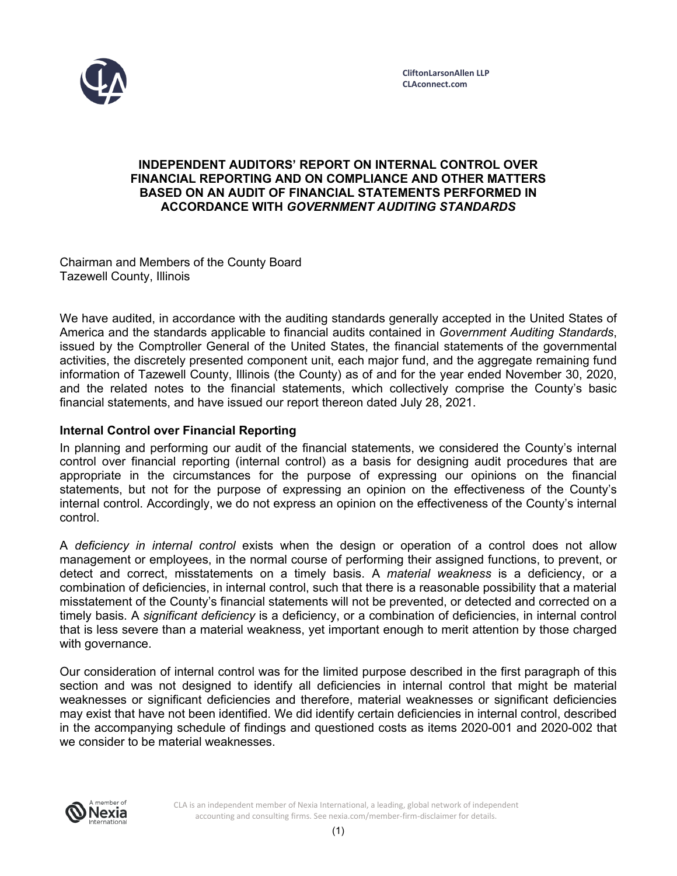

## **INDEPENDENT AUDITORS' REPORT ON INTERNAL CONTROL OVER FINANCIAL REPORTING AND ON COMPLIANCE AND OTHER MATTERS BASED ON AN AUDIT OF FINANCIAL STATEMENTS PERFORMED IN ACCORDANCE WITH** *GOVERNMENT AUDITING STANDARDS*

Chairman and Members of the County Board Tazewell County, Illinois

We have audited, in accordance with the auditing standards generally accepted in the United States of America and the standards applicable to financial audits contained in *Government Auditing Standards*, issued by the Comptroller General of the United States, the financial statements of the governmental activities, the discretely presented component unit, each major fund, and the aggregate remaining fund information of Tazewell County, Illinois (the County) as of and for the year ended November 30, 2020, and the related notes to the financial statements, which collectively comprise the County's basic financial statements, and have issued our report thereon dated July 28, 2021.

## **Internal Control over Financial Reporting**

In planning and performing our audit of the financial statements, we considered the County's internal control over financial reporting (internal control) as a basis for designing audit procedures that are appropriate in the circumstances for the purpose of expressing our opinions on the financial statements, but not for the purpose of expressing an opinion on the effectiveness of the County's internal control. Accordingly, we do not express an opinion on the effectiveness of the County's internal control.

A *deficiency in internal control* exists when the design or operation of a control does not allow management or employees, in the normal course of performing their assigned functions, to prevent, or detect and correct, misstatements on a timely basis. A *material weakness* is a deficiency, or a combination of deficiencies, in internal control, such that there is a reasonable possibility that a material misstatement of the County's financial statements will not be prevented, or detected and corrected on a timely basis. A *significant deficiency* is a deficiency, or a combination of deficiencies, in internal control that is less severe than a material weakness, yet important enough to merit attention by those charged with governance.

Our consideration of internal control was for the limited purpose described in the first paragraph of this section and was not designed to identify all deficiencies in internal control that might be material weaknesses or significant deficiencies and therefore, material weaknesses or significant deficiencies may exist that have not been identified. We did identify certain deficiencies in internal control, described in the accompanying schedule of findings and questioned costs as items 2020-001 and 2020-002 that we consider to be material weaknesses.

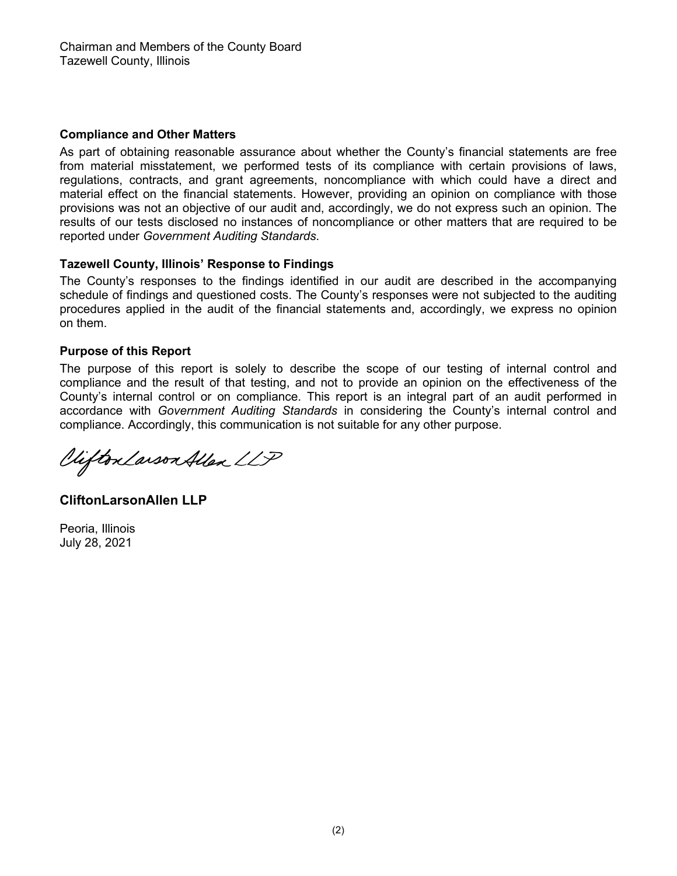## **Compliance and Other Matters**

As part of obtaining reasonable assurance about whether the County's financial statements are free from material misstatement, we performed tests of its compliance with certain provisions of laws, regulations, contracts, and grant agreements, noncompliance with which could have a direct and material effect on the financial statements. However, providing an opinion on compliance with those provisions was not an objective of our audit and, accordingly, we do not express such an opinion. The results of our tests disclosed no instances of noncompliance or other matters that are required to be reported under *Government Auditing Standards*.

## **Tazewell County, Illinois' Response to Findings**

The County's responses to the findings identified in our audit are described in the accompanying schedule of findings and questioned costs. The County's responses were not subjected to the auditing procedures applied in the audit of the financial statements and, accordingly, we express no opinion on them.

## **Purpose of this Report**

The purpose of this report is solely to describe the scope of our testing of internal control and compliance and the result of that testing, and not to provide an opinion on the effectiveness of the County's internal control or on compliance. This report is an integral part of an audit performed in accordance with *Government Auditing Standards* in considering the County's internal control and compliance. Accordingly, this communication is not suitable for any other purpose.

Viifton Larson Allen LLP

**CliftonLarsonAllen LLP**

Peoria, Illinois July 28, 2021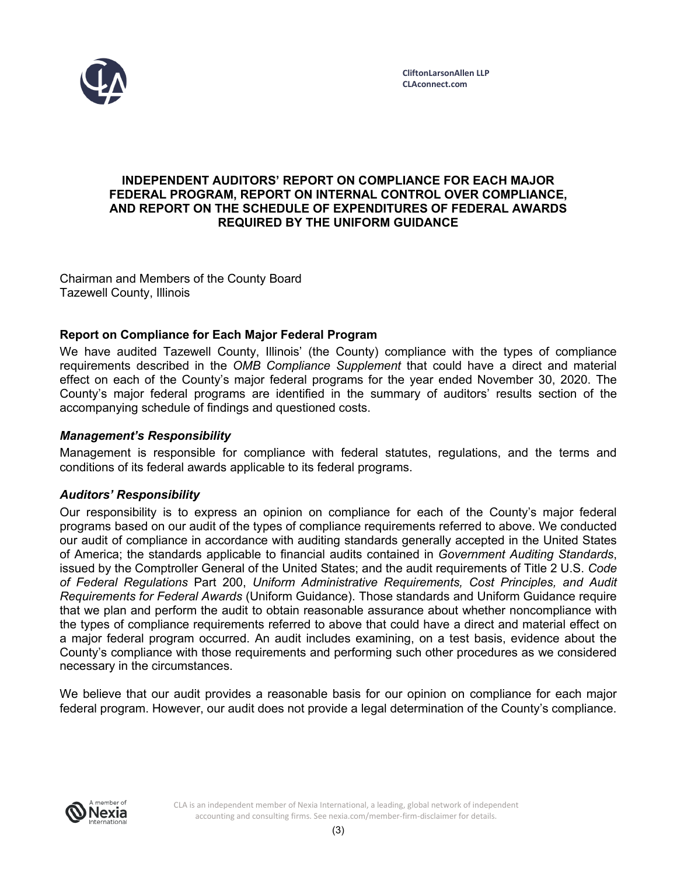

## **INDEPENDENT AUDITORS' REPORT ON COMPLIANCE FOR EACH MAJOR FEDERAL PROGRAM, REPORT ON INTERNAL CONTROL OVER COMPLIANCE, AND REPORT ON THE SCHEDULE OF EXPENDITURES OF FEDERAL AWARDS REQUIRED BY THE UNIFORM GUIDANCE**

Chairman and Members of the County Board Tazewell County, Illinois

## **Report on Compliance for Each Major Federal Program**

We have audited Tazewell County, Illinois' (the County) compliance with the types of compliance requirements described in the *OMB Compliance Supplement* that could have a direct and material effect on each of the County's major federal programs for the year ended November 30, 2020. The County's major federal programs are identified in the summary of auditors' results section of the accompanying schedule of findings and questioned costs.

# *Management's Responsibility*

Management is responsible for compliance with federal statutes, regulations, and the terms and conditions of its federal awards applicable to its federal programs.

## *Auditors' Responsibility*

Our responsibility is to express an opinion on compliance for each of the County's major federal programs based on our audit of the types of compliance requirements referred to above. We conducted our audit of compliance in accordance with auditing standards generally accepted in the United States of America; the standards applicable to financial audits contained in *Government Auditing Standards*, issued by the Comptroller General of the United States; and the audit requirements of Title 2 U.S. *Code of Federal Regulations* Part 200, *Uniform Administrative Requirements, Cost Principles, and Audit Requirements for Federal Awards* (Uniform Guidance). Those standards and Uniform Guidance require that we plan and perform the audit to obtain reasonable assurance about whether noncompliance with the types of compliance requirements referred to above that could have a direct and material effect on a major federal program occurred. An audit includes examining, on a test basis, evidence about the County's compliance with those requirements and performing such other procedures as we considered necessary in the circumstances.

We believe that our audit provides a reasonable basis for our opinion on compliance for each major federal program. However, our audit does not provide a legal determination of the County's compliance.

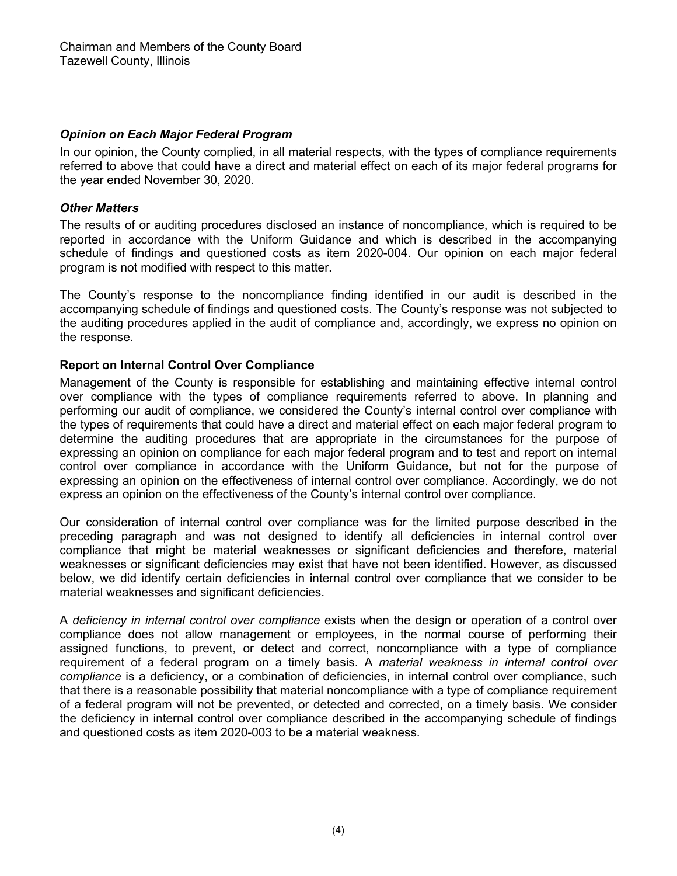## *Opinion on Each Major Federal Program*

In our opinion, the County complied, in all material respects, with the types of compliance requirements referred to above that could have a direct and material effect on each of its major federal programs for the year ended November 30, 2020.

## *Other Matters*

The results of or auditing procedures disclosed an instance of noncompliance, which is required to be reported in accordance with the Uniform Guidance and which is described in the accompanying schedule of findings and questioned costs as item 2020-004. Our opinion on each major federal program is not modified with respect to this matter.

The County's response to the noncompliance finding identified in our audit is described in the accompanying schedule of findings and questioned costs. The County's response was not subjected to the auditing procedures applied in the audit of compliance and, accordingly, we express no opinion on the response.

## **Report on Internal Control Over Compliance**

Management of the County is responsible for establishing and maintaining effective internal control over compliance with the types of compliance requirements referred to above. In planning and performing our audit of compliance, we considered the County's internal control over compliance with the types of requirements that could have a direct and material effect on each major federal program to determine the auditing procedures that are appropriate in the circumstances for the purpose of expressing an opinion on compliance for each major federal program and to test and report on internal control over compliance in accordance with the Uniform Guidance, but not for the purpose of expressing an opinion on the effectiveness of internal control over compliance. Accordingly, we do not express an opinion on the effectiveness of the County's internal control over compliance.

Our consideration of internal control over compliance was for the limited purpose described in the preceding paragraph and was not designed to identify all deficiencies in internal control over compliance that might be material weaknesses or significant deficiencies and therefore, material weaknesses or significant deficiencies may exist that have not been identified. However, as discussed below, we did identify certain deficiencies in internal control over compliance that we consider to be material weaknesses and significant deficiencies.

A *deficiency in internal control over compliance* exists when the design or operation of a control over compliance does not allow management or employees, in the normal course of performing their assigned functions, to prevent, or detect and correct, noncompliance with a type of compliance requirement of a federal program on a timely basis. A *material weakness in internal control over compliance* is a deficiency, or a combination of deficiencies, in internal control over compliance, such that there is a reasonable possibility that material noncompliance with a type of compliance requirement of a federal program will not be prevented, or detected and corrected, on a timely basis. We consider the deficiency in internal control over compliance described in the accompanying schedule of findings and questioned costs as item 2020-003 to be a material weakness.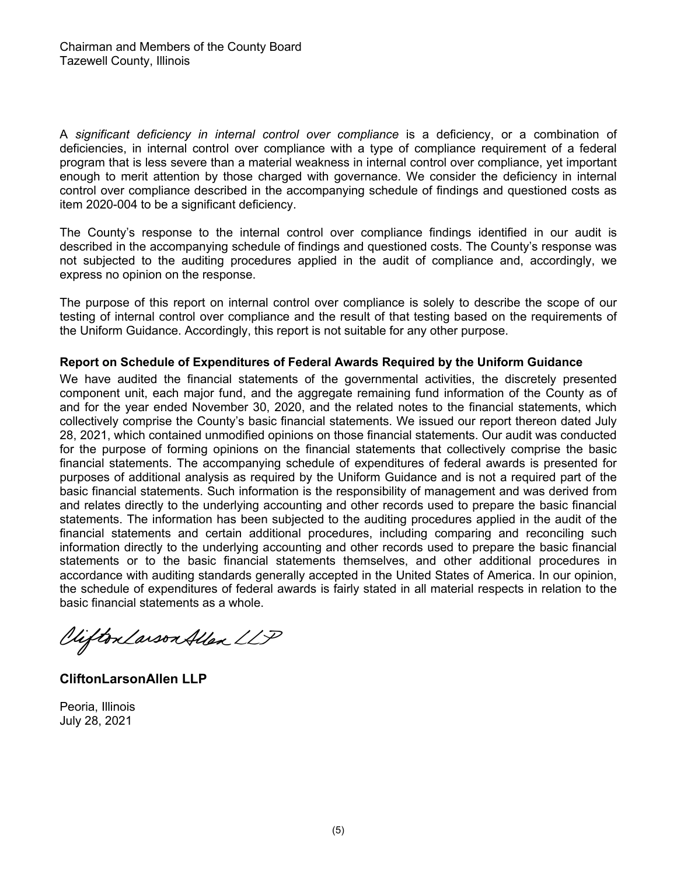A *significant deficiency in internal control over compliance* is a deficiency, or a combination of deficiencies, in internal control over compliance with a type of compliance requirement of a federal program that is less severe than a material weakness in internal control over compliance, yet important enough to merit attention by those charged with governance. We consider the deficiency in internal control over compliance described in the accompanying schedule of findings and questioned costs as item 2020-004 to be a significant deficiency.

The County's response to the internal control over compliance findings identified in our audit is described in the accompanying schedule of findings and questioned costs. The County's response was not subjected to the auditing procedures applied in the audit of compliance and, accordingly, we express no opinion on the response.

The purpose of this report on internal control over compliance is solely to describe the scope of our testing of internal control over compliance and the result of that testing based on the requirements of the Uniform Guidance. Accordingly, this report is not suitable for any other purpose.

## **Report on Schedule of Expenditures of Federal Awards Required by the Uniform Guidance**

We have audited the financial statements of the governmental activities, the discretely presented component unit, each major fund, and the aggregate remaining fund information of the County as of and for the year ended November 30, 2020, and the related notes to the financial statements, which collectively comprise the County's basic financial statements. We issued our report thereon dated July 28, 2021, which contained unmodified opinions on those financial statements. Our audit was conducted for the purpose of forming opinions on the financial statements that collectively comprise the basic financial statements. The accompanying schedule of expenditures of federal awards is presented for purposes of additional analysis as required by the Uniform Guidance and is not a required part of the basic financial statements. Such information is the responsibility of management and was derived from and relates directly to the underlying accounting and other records used to prepare the basic financial statements. The information has been subjected to the auditing procedures applied in the audit of the financial statements and certain additional procedures, including comparing and reconciling such information directly to the underlying accounting and other records used to prepare the basic financial statements or to the basic financial statements themselves, and other additional procedures in accordance with auditing standards generally accepted in the United States of America. In our opinion, the schedule of expenditures of federal awards is fairly stated in all material respects in relation to the basic fina ncial statements as a whole.

Viifton Larson Allen LLP

**CliftonLarsonAllen LLP**

Peoria, Illinois July 28, 2021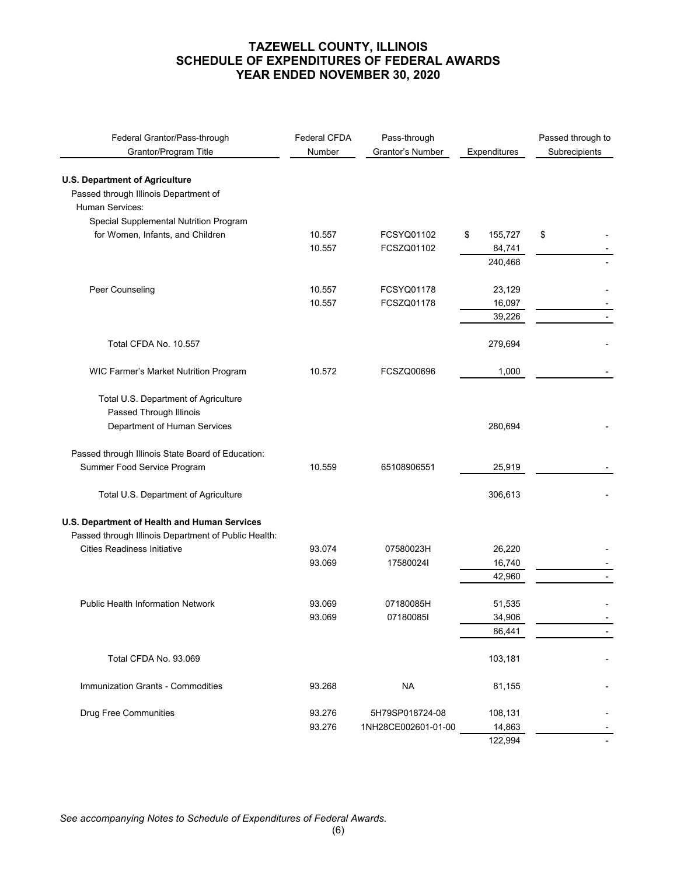| Federal Grantor/Pass-through<br>Grantor/Program Title           | Federal CFDA<br>Number | Pass-through<br>Grantor's Number | Expenditures            | Passed through to<br>Subrecipients |
|-----------------------------------------------------------------|------------------------|----------------------------------|-------------------------|------------------------------------|
| <b>U.S. Department of Agriculture</b>                           |                        |                                  |                         |                                    |
| Passed through Illinois Department of<br><b>Human Services:</b> |                        |                                  |                         |                                    |
| Special Supplemental Nutrition Program                          |                        |                                  |                         |                                    |
| for Women, Infants, and Children                                | 10.557<br>10.557       | FCSYQ01102<br>FCSZQ01102         | 155,727<br>\$<br>84,741 | \$                                 |
|                                                                 |                        |                                  | 240,468                 |                                    |
| Peer Counseling                                                 | 10.557                 | FCSYQ01178                       | 23,129                  |                                    |
|                                                                 | 10.557                 | FCSZQ01178                       | 16,097                  |                                    |
|                                                                 |                        |                                  | 39,226                  |                                    |
| Total CFDA No. 10.557                                           |                        |                                  | 279,694                 |                                    |
| WIC Farmer's Market Nutrition Program                           | 10.572                 | FCSZQ00696                       | 1,000                   |                                    |
| Total U.S. Department of Agriculture                            |                        |                                  |                         |                                    |
| Passed Through Illinois                                         |                        |                                  |                         |                                    |
| Department of Human Services                                    |                        |                                  | 280,694                 |                                    |
| Passed through Illinois State Board of Education:               |                        |                                  |                         |                                    |
| Summer Food Service Program                                     | 10.559                 | 65108906551                      | 25,919                  |                                    |
| Total U.S. Department of Agriculture                            |                        |                                  | 306,613                 |                                    |
| U.S. Department of Health and Human Services                    |                        |                                  |                         |                                    |
| Passed through Illinois Department of Public Health:            |                        |                                  |                         |                                    |
| <b>Cities Readiness Initiative</b>                              | 93.074                 | 07580023H                        | 26,220                  |                                    |
|                                                                 | 93.069                 | 175800241                        | 16,740                  |                                    |
|                                                                 |                        |                                  | 42,960                  |                                    |
| <b>Public Health Information Network</b>                        | 93.069                 | 07180085H                        | 51,535                  |                                    |
|                                                                 | 93.069                 | 07180085I                        | 34,906                  |                                    |
|                                                                 |                        |                                  | 86,441                  |                                    |
|                                                                 |                        |                                  |                         |                                    |
| Total CFDA No. 93.069                                           |                        |                                  | 103,181                 |                                    |
| Immunization Grants - Commodities                               | 93.268                 | <b>NA</b>                        | 81,155                  |                                    |
| <b>Drug Free Communities</b>                                    | 93.276                 | 5H79SP018724-08                  | 108,131                 |                                    |
|                                                                 | 93.276                 | 1NH28CE002601-01-00              | 14,863                  |                                    |
|                                                                 |                        |                                  | 122,994                 | $\sim$                             |

*See accompanying Notes to Schedule of Expenditures of Federal Awards.*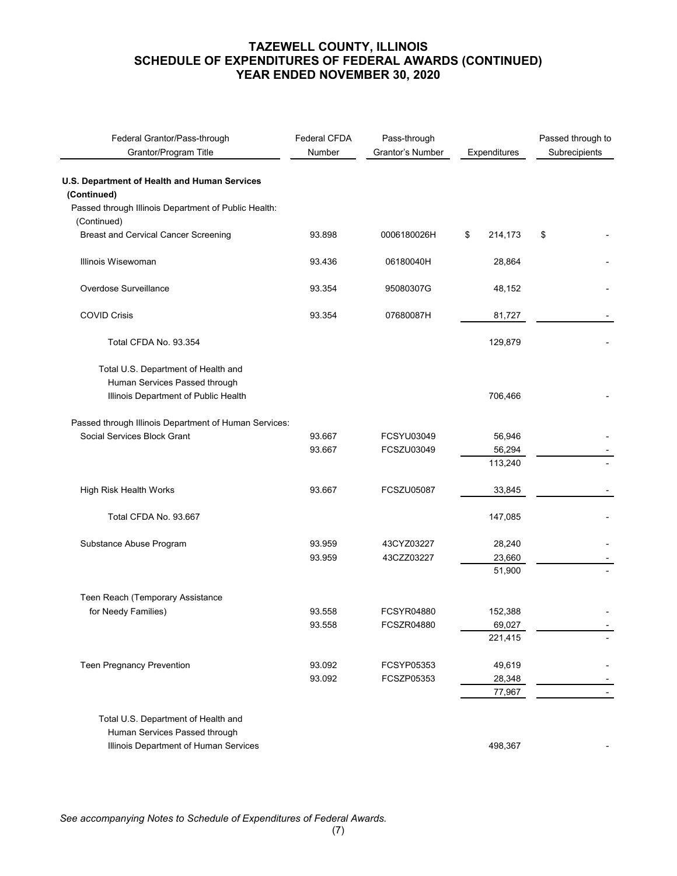| Federal Grantor/Pass-through<br>Grantor/Program Title               | Federal CFDA<br>Number | Pass-through<br>Grantor's Number | Expenditures  | Passed through to<br>Subrecipients |
|---------------------------------------------------------------------|------------------------|----------------------------------|---------------|------------------------------------|
| U.S. Department of Health and Human Services                        |                        |                                  |               |                                    |
| (Continued)                                                         |                        |                                  |               |                                    |
| Passed through Illinois Department of Public Health:<br>(Continued) |                        |                                  |               |                                    |
| <b>Breast and Cervical Cancer Screening</b>                         | 93.898                 | 0006180026H                      | 214,173<br>\$ | \$                                 |
| Illinois Wisewoman                                                  | 93.436                 | 06180040H                        | 28,864        |                                    |
| Overdose Surveillance                                               | 93.354                 | 95080307G                        | 48,152        |                                    |
| <b>COVID Crisis</b>                                                 | 93.354                 | 07680087H                        | 81,727        |                                    |
| Total CFDA No. 93.354                                               |                        |                                  | 129,879       |                                    |
| Total U.S. Department of Health and                                 |                        |                                  |               |                                    |
| Human Services Passed through                                       |                        |                                  |               |                                    |
| Illinois Department of Public Health                                |                        |                                  | 706,466       |                                    |
| Passed through Illinois Department of Human Services:               |                        |                                  |               |                                    |
| Social Services Block Grant                                         | 93.667                 | FCSYU03049                       | 56,946        |                                    |
|                                                                     | 93.667                 | FCSZU03049                       | 56,294        |                                    |
|                                                                     |                        |                                  | 113,240       |                                    |
| High Risk Health Works                                              | 93.667                 | <b>FCSZU05087</b>                | 33,845        |                                    |
| Total CFDA No. 93.667                                               |                        |                                  | 147,085       |                                    |
| Substance Abuse Program                                             | 93.959                 | 43CYZ03227                       | 28,240        |                                    |
|                                                                     | 93.959                 | 43CZZ03227                       | 23,660        |                                    |
|                                                                     |                        |                                  | 51,900        |                                    |
| Teen Reach (Temporary Assistance                                    |                        |                                  |               |                                    |
| for Needy Families)                                                 | 93.558                 | <b>FCSYR04880</b>                | 152,388       |                                    |
|                                                                     | 93.558                 | FCSZR04880                       | 69,027        |                                    |
|                                                                     |                        |                                  | 221,415       |                                    |
| <b>Teen Pregnancy Prevention</b>                                    | 93.092                 | FCSYP05353                       | 49,619        |                                    |
|                                                                     | 93.092                 | FCSZP05353                       | 28,348        |                                    |
|                                                                     |                        |                                  | 77,967        |                                    |
| Total U.S. Department of Health and                                 |                        |                                  |               |                                    |
| Human Services Passed through                                       |                        |                                  |               |                                    |
| Illinois Department of Human Services                               |                        |                                  | 498,367       |                                    |

*See accompanying Notes to Schedule of Expenditures of Federal Awards.*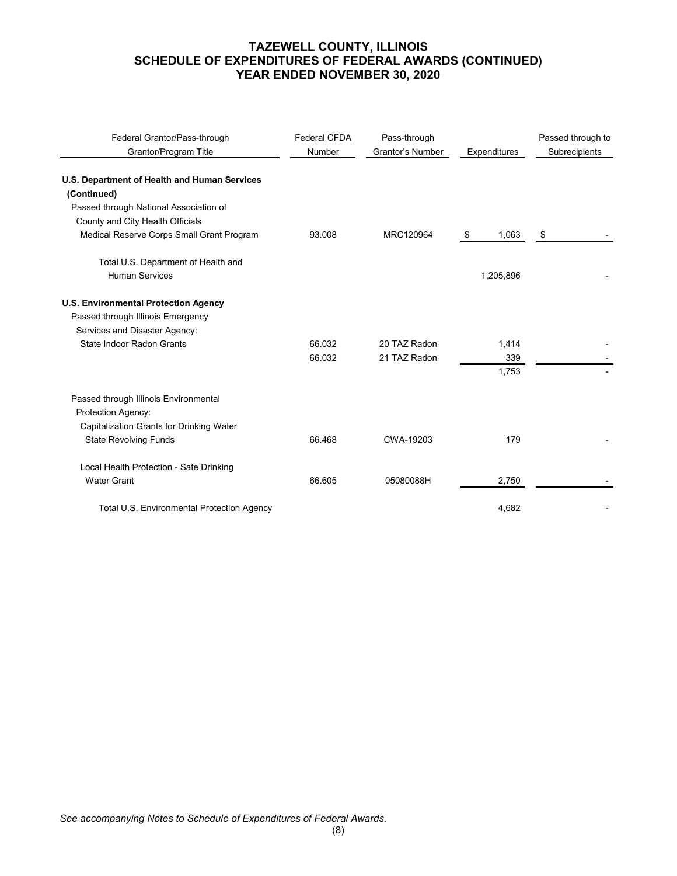| Federal Grantor/Pass-through<br>Grantor/Program Title | <b>Federal CFDA</b><br>Number | Pass-through<br><b>Grantor's Number</b> | Expenditures | Passed through to<br>Subrecipients |
|-------------------------------------------------------|-------------------------------|-----------------------------------------|--------------|------------------------------------|
| U.S. Department of Health and Human Services          |                               |                                         |              |                                    |
| (Continued)                                           |                               |                                         |              |                                    |
| Passed through National Association of                |                               |                                         |              |                                    |
| County and City Health Officials                      |                               |                                         |              |                                    |
| Medical Reserve Corps Small Grant Program             | 93.008                        | MRC120964                               | 1,063<br>\$  | \$                                 |
| Total U.S. Department of Health and                   |                               |                                         |              |                                    |
| <b>Human Services</b>                                 |                               |                                         | 1,205,896    |                                    |
| <b>U.S. Environmental Protection Agency</b>           |                               |                                         |              |                                    |
| Passed through Illinois Emergency                     |                               |                                         |              |                                    |
| Services and Disaster Agency:                         |                               |                                         |              |                                    |
| State Indoor Radon Grants                             | 66.032                        | 20 TAZ Radon                            | 1,414        |                                    |
|                                                       | 66.032                        | 21 TAZ Radon                            | 339          |                                    |
|                                                       |                               |                                         | 1,753        |                                    |
| Passed through Illinois Environmental                 |                               |                                         |              |                                    |
| Protection Agency:                                    |                               |                                         |              |                                    |
| Capitalization Grants for Drinking Water              |                               |                                         |              |                                    |
| <b>State Revolving Funds</b>                          | 66.468                        | CWA-19203                               | 179          |                                    |
| Local Health Protection - Safe Drinking               |                               |                                         |              |                                    |
| <b>Water Grant</b>                                    | 66.605                        | 05080088H                               | 2,750        |                                    |
| Total U.S. Environmental Protection Agency            |                               |                                         | 4,682        |                                    |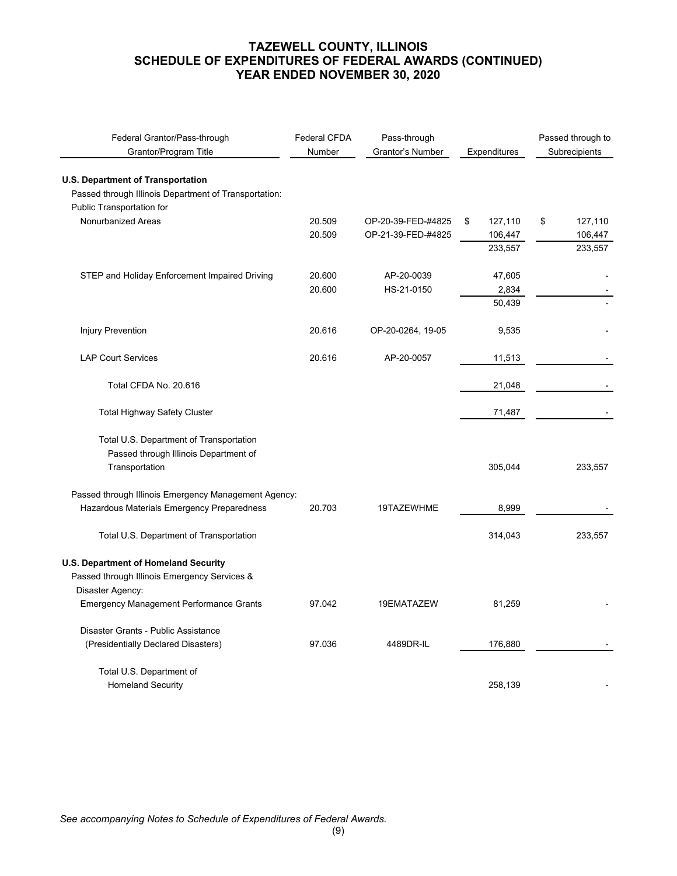| Federal Grantor/Pass-through<br>Grantor/Program Title                                             | <b>Federal CFDA</b><br>Number | Pass-through<br>Grantor's Number         | Expenditures             | Passed through to<br>Subrecipients |
|---------------------------------------------------------------------------------------------------|-------------------------------|------------------------------------------|--------------------------|------------------------------------|
|                                                                                                   |                               |                                          |                          |                                    |
| <b>U.S. Department of Transportation</b><br>Passed through Illinois Department of Transportation: |                               |                                          |                          |                                    |
| Public Transportation for                                                                         |                               |                                          |                          |                                    |
| Nonurbanized Areas                                                                                | 20.509<br>20.509              | OP-20-39-FED-#4825<br>OP-21-39-FED-#4825 | 127,110<br>\$<br>106,447 | \$<br>127,110<br>106,447           |
|                                                                                                   |                               |                                          | 233,557                  | 233,557                            |
|                                                                                                   |                               |                                          |                          |                                    |
| STEP and Holiday Enforcement Impaired Driving                                                     | 20.600                        | AP-20-0039                               | 47,605                   |                                    |
|                                                                                                   | 20.600                        | HS-21-0150                               | 2,834                    |                                    |
|                                                                                                   |                               |                                          | 50,439                   |                                    |
| <b>Injury Prevention</b>                                                                          | 20.616                        | OP-20-0264, 19-05                        | 9,535                    |                                    |
| <b>LAP Court Services</b>                                                                         | 20.616                        | AP-20-0057                               | 11,513                   |                                    |
| Total CFDA No. 20.616                                                                             |                               |                                          | 21,048                   |                                    |
| <b>Total Highway Safety Cluster</b>                                                               |                               |                                          | 71,487                   |                                    |
| Total U.S. Department of Transportation                                                           |                               |                                          |                          |                                    |
| Passed through Illinois Department of                                                             |                               |                                          |                          |                                    |
| Transportation                                                                                    |                               |                                          | 305,044                  | 233,557                            |
| Passed through Illinois Emergency Management Agency:                                              |                               |                                          |                          |                                    |
| Hazardous Materials Emergency Preparedness                                                        | 20.703                        | 19TAZEWHME                               | 8,999                    |                                    |
| Total U.S. Department of Transportation                                                           |                               |                                          | 314,043                  | 233,557                            |
| U.S. Department of Homeland Security                                                              |                               |                                          |                          |                                    |
| Passed through Illinois Emergency Services &                                                      |                               |                                          |                          |                                    |
| Disaster Agency:                                                                                  |                               |                                          |                          |                                    |
| <b>Emergency Management Performance Grants</b>                                                    | 97.042                        | 19EMATAZEW                               | 81,259                   |                                    |
| Disaster Grants - Public Assistance                                                               |                               |                                          |                          |                                    |
| (Presidentially Declared Disasters)                                                               | 97.036                        | 4489DR-IL                                | 176,880                  |                                    |
| Total U.S. Department of                                                                          |                               |                                          |                          |                                    |
| <b>Homeland Security</b>                                                                          |                               |                                          | 258,139                  |                                    |

*See accompanying Notes to Schedule of Expenditures of Federal Awards.*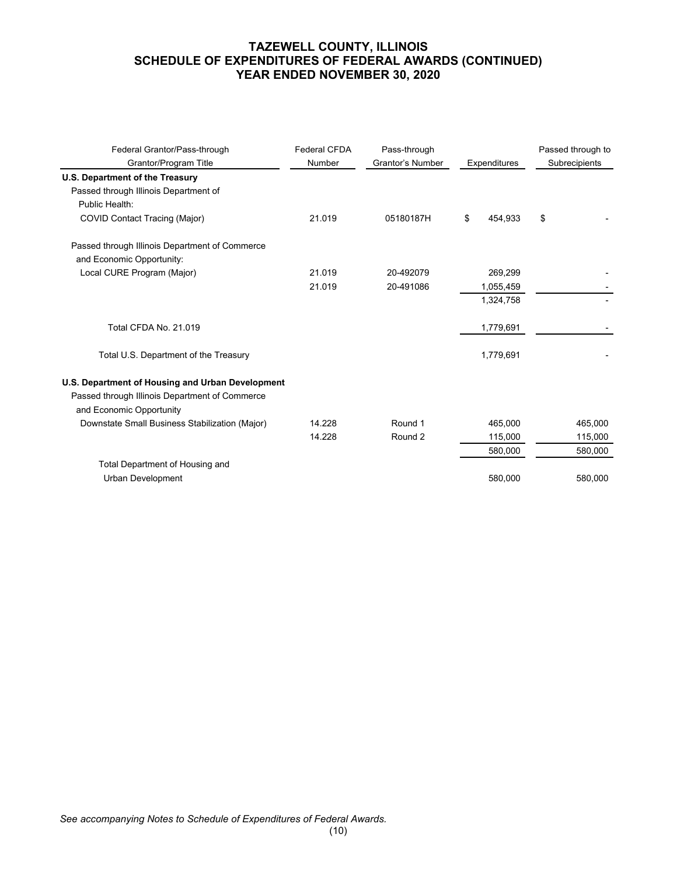| Federal Grantor/Pass-through<br>Grantor/Program Title | <b>Federal CFDA</b><br>Number | Pass-through<br>Grantor's Number | Expenditures  | Passed through to<br>Subrecipients |
|-------------------------------------------------------|-------------------------------|----------------------------------|---------------|------------------------------------|
| U.S. Department of the Treasury                       |                               |                                  |               |                                    |
| Passed through Illinois Department of                 |                               |                                  |               |                                    |
| Public Health:                                        |                               |                                  |               |                                    |
| <b>COVID Contact Tracing (Major)</b>                  | 21.019                        | 05180187H                        | \$<br>454.933 | \$                                 |
| Passed through Illinois Department of Commerce        |                               |                                  |               |                                    |
| and Economic Opportunity:                             |                               |                                  |               |                                    |
| Local CURE Program (Major)                            | 21.019                        | 20-492079                        | 269,299       |                                    |
|                                                       | 21.019                        | 20-491086                        | 1,055,459     |                                    |
|                                                       |                               |                                  | 1,324,758     |                                    |
| Total CFDA No. 21.019                                 |                               |                                  | 1,779,691     |                                    |
| Total U.S. Department of the Treasury                 |                               |                                  | 1,779,691     |                                    |
| U.S. Department of Housing and Urban Development      |                               |                                  |               |                                    |
| Passed through Illinois Department of Commerce        |                               |                                  |               |                                    |
| and Economic Opportunity                              |                               |                                  |               |                                    |
| Downstate Small Business Stabilization (Major)        | 14.228                        | Round 1                          | 465,000       | 465,000                            |
|                                                       | 14.228                        | Round 2                          | 115,000       | 115,000                            |
|                                                       |                               |                                  | 580,000       | 580,000                            |
| Total Department of Housing and                       |                               |                                  |               |                                    |
| Urban Development                                     |                               |                                  | 580,000       | 580,000                            |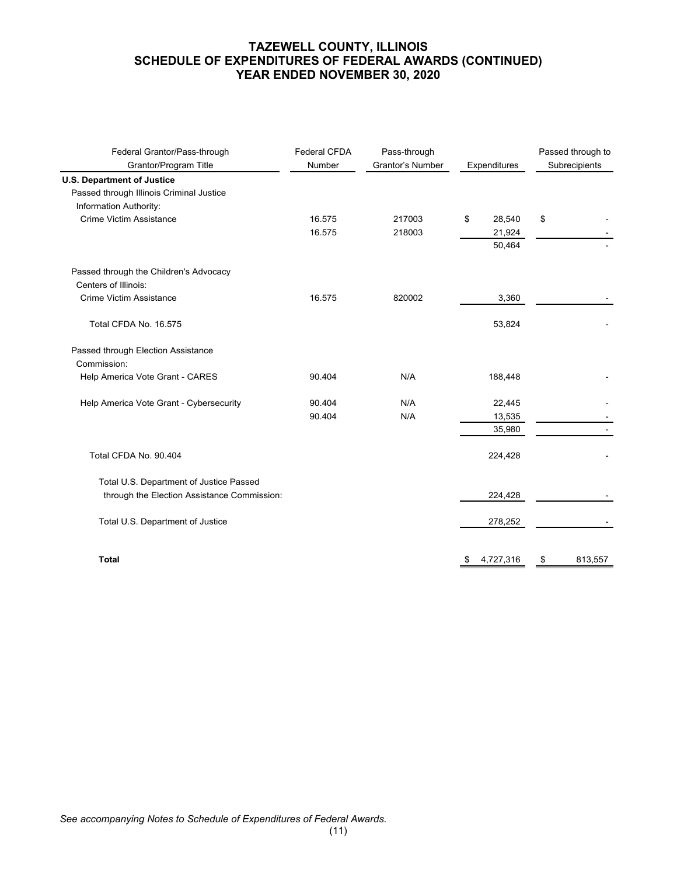| Federal Grantor/Pass-through<br>Grantor/Program Title | <b>Federal CFDA</b><br>Number | Pass-through<br>Grantor's Number | Expenditures | Passed through to<br>Subrecipients |
|-------------------------------------------------------|-------------------------------|----------------------------------|--------------|------------------------------------|
| <b>U.S. Department of Justice</b>                     |                               |                                  |              |                                    |
| Passed through Illinois Criminal Justice              |                               |                                  |              |                                    |
| Information Authority:                                |                               |                                  |              |                                    |
| <b>Crime Victim Assistance</b>                        | 16.575                        | 217003                           | 28,540<br>\$ | \$                                 |
|                                                       | 16.575                        | 218003                           | 21,924       |                                    |
|                                                       |                               |                                  | 50,464       |                                    |
| Passed through the Children's Advocacy                |                               |                                  |              |                                    |
| Centers of Illinois:                                  |                               |                                  |              |                                    |
| Crime Victim Assistance                               | 16.575                        | 820002                           | 3,360        |                                    |
| Total CFDA No. 16.575                                 |                               |                                  | 53,824       |                                    |
| Passed through Election Assistance<br>Commission:     |                               |                                  |              |                                    |
| Help America Vote Grant - CARES                       | 90.404                        | N/A                              | 188,448      |                                    |
| Help America Vote Grant - Cybersecurity               | 90.404                        | N/A                              | 22,445       |                                    |
|                                                       | 90.404                        | N/A                              | 13,535       |                                    |
|                                                       |                               |                                  | 35,980       |                                    |
| Total CFDA No. 90.404                                 |                               |                                  | 224,428      |                                    |
| Total U.S. Department of Justice Passed               |                               |                                  |              |                                    |
| through the Election Assistance Commission:           |                               |                                  | 224,428      |                                    |
| Total U.S. Department of Justice                      |                               |                                  | 278,252      |                                    |
| <b>Total</b>                                          |                               |                                  | 4,727,316    | 813,557<br>\$                      |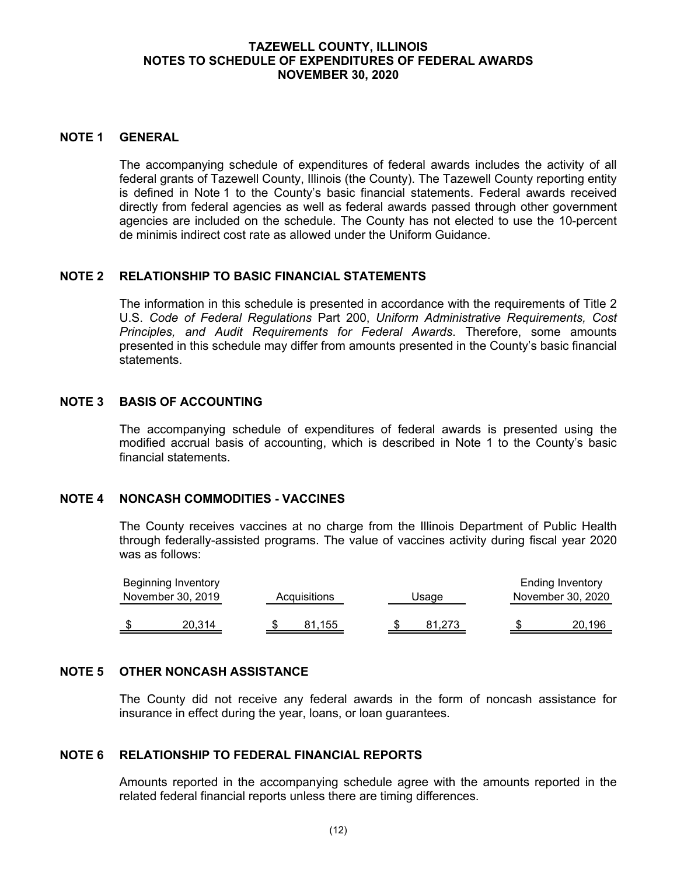#### **TAZEWELL COUNTY, ILLINOIS NOTES TO SCHEDULE OF EXPENDITURES OF FEDERAL AWARDS NOVEMBER 30, 2020**

#### **NOTE 1 GENERAL**

The accompanying schedule of expenditures of federal awards includes the activity of all federal grants of Tazewell County, Illinois (the County). The Tazewell County reporting entity is defined in Note 1 to the County's basic financial statements. Federal awards received directly from federal agencies as well as federal awards passed through other government agencies are included on the schedule. The County has not elected to use the 10-percent de minimis indirect cost rate as allowed under the Uniform Guidance.

#### **NOTE 2 RELATIONSHIP TO BASIC FINANCIAL STATEMENTS**

The information in this schedule is presented in accordance with the requirements of Title 2 U.S. *Code of Federal Regulations* Part 200, *Uniform Administrative Requirements, Cost Principles, and Audit Requirements for Federal Awards*. Therefore, some amounts presented in this schedule may differ from amounts presented in the County's basic financial statements.

## **NOTE 3 BASIS OF ACCOUNTING**

The accompanying schedule of expenditures of federal awards is presented using the modified accrual basis of accounting, which is described in Note 1 to the County's basic financial statements.

## **NOTE 4 NONCASH COMMODITIES - VACCINES**

The County receives vaccines at no charge from the Illinois Department of Public Health through federally-assisted programs. The value of vaccines activity during fiscal year 2020 was as follows:

| <b>Beginning Inventory</b> |              |       | <b>Ending Inventory</b> |
|----------------------------|--------------|-------|-------------------------|
| November 30, 2019          | Acquisitions | Jsaqe | November 30, 2020       |
| 20.314                     | 155          |       | 20.196                  |
|                            |              |       |                         |

# **NOTE 5 OTHER NONCASH ASSISTANCE**

The County did not receive any federal awards in the form of noncash assistance for insurance in effect during the year, loans, or loan guarantees.

## **NOTE 6 RELATIONSHIP TO FEDERAL FINANCIAL REPORTS**

Amounts reported in the accompanying schedule agree with the amounts reported in the related federal financial reports unless there are timing differences.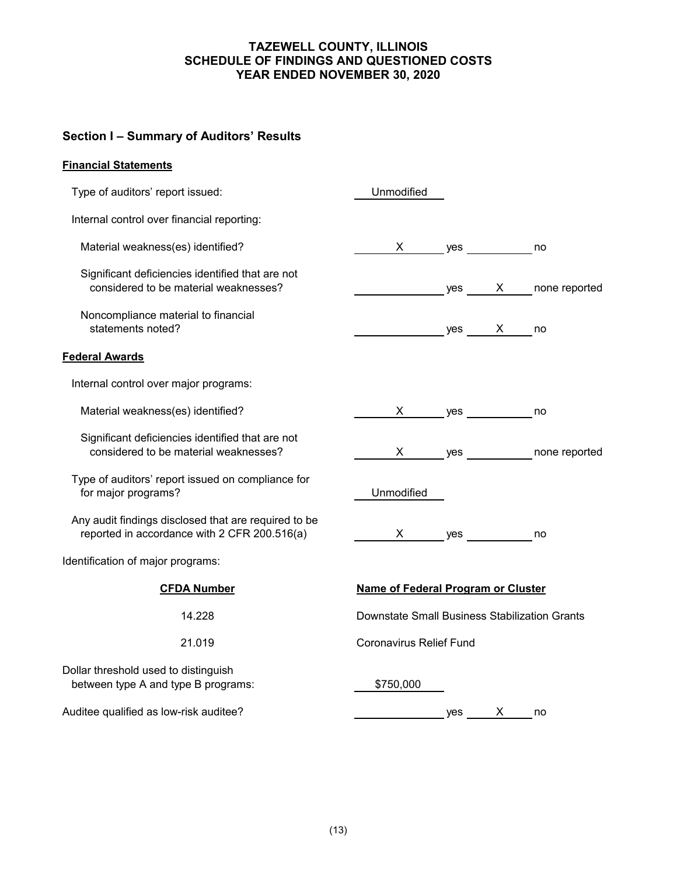# **Section I – Summary of Auditors' Results**

## **Financial Statements**

| Type of auditors' report issued:                                                                     | Unmodified                                                                                                                                                                                                                                                                                       |     |                     |
|------------------------------------------------------------------------------------------------------|--------------------------------------------------------------------------------------------------------------------------------------------------------------------------------------------------------------------------------------------------------------------------------------------------|-----|---------------------|
| Internal control over financial reporting:                                                           |                                                                                                                                                                                                                                                                                                  |     |                     |
| Material weakness(es) identified?                                                                    | X yes                                                                                                                                                                                                                                                                                            |     | no                  |
| Significant deficiencies identified that are not<br>considered to be material weaknesses?            |                                                                                                                                                                                                                                                                                                  |     | yes X none reported |
| Noncompliance material to financial<br>statements noted?                                             | $yes$ X                                                                                                                                                                                                                                                                                          |     | no                  |
| <b>Federal Awards</b>                                                                                |                                                                                                                                                                                                                                                                                                  |     |                     |
| Internal control over major programs:                                                                |                                                                                                                                                                                                                                                                                                  |     |                     |
| Material weakness(es) identified?                                                                    | $\mathsf{X}$ and $\mathsf{X}$ and $\mathsf{X}$ and $\mathsf{X}$ are $\mathsf{X}$ and $\mathsf{X}$ and $\mathsf{X}$ are $\mathsf{X}$ and $\mathsf{X}$ are $\mathsf{X}$ and $\mathsf{X}$ are $\mathsf{X}$ and $\mathsf{X}$ are $\mathsf{X}$ and $\mathsf{X}$ are $\mathsf{X}$ and $\mathsf{X}$ are | yes | no                  |
| Significant deficiencies identified that are not<br>considered to be material weaknesses?            |                                                                                                                                                                                                                                                                                                  |     | X yes none reported |
| Type of auditors' report issued on compliance for<br>for major programs?                             | Unmodified                                                                                                                                                                                                                                                                                       |     |                     |
| Any audit findings disclosed that are required to be<br>reported in accordance with 2 CFR 200.516(a) | X yes                                                                                                                                                                                                                                                                                            |     | no                  |
| Identification of major programs:                                                                    |                                                                                                                                                                                                                                                                                                  |     |                     |
| <b>CFDA Number</b>                                                                                   | Name of Federal Program or Cluster                                                                                                                                                                                                                                                               |     |                     |
| 14.228                                                                                               | <b>Downstate Small Business Stabilization Grants</b>                                                                                                                                                                                                                                             |     |                     |
| 21.019                                                                                               | <b>Coronavirus Relief Fund</b>                                                                                                                                                                                                                                                                   |     |                     |
| Dollar threshold used to distinguish<br>between type A and type B programs:                          | \$750,000                                                                                                                                                                                                                                                                                        |     |                     |
| Auditee qualified as low-risk auditee?                                                               | <b>Example Street Street Street Street Street Street Street Street Street Street Street Street Street S</b>                                                                                                                                                                                      |     | no                  |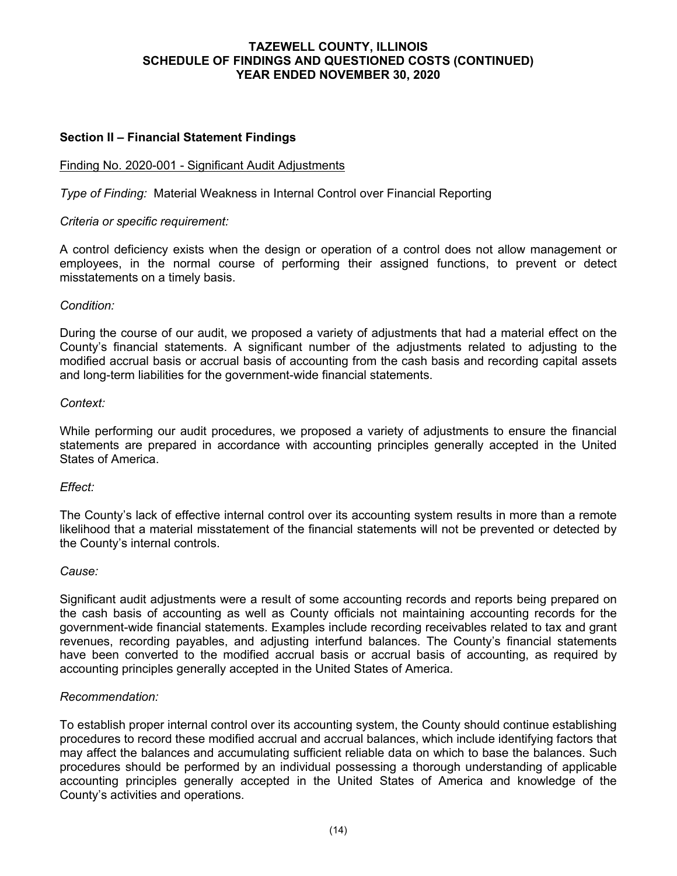## **Section II – Financial Statement Findings**

#### Finding No. 2020-001 - Significant Audit Adjustments

*Type of Finding:* Material Weakness in Internal Control over Financial Reporting

#### *Criteria or specific requirement:*

A control deficiency exists when the design or operation of a control does not allow management or employees, in the normal course of performing their assigned functions, to prevent or detect misstatements on a timely basis.

#### *Condition:*

During the course of our audit, we proposed a variety of adjustments that had a material effect on the County's financial statements. A significant number of the adjustments related to adjusting to the modified accrual basis or accrual basis of accounting from the cash basis and recording capital assets and long-term liabilities for the government-wide financial statements.

#### *Context:*

While performing our audit procedures, we proposed a variety of adjustments to ensure the financial statements are prepared in accordance with accounting principles generally accepted in the United States of America.

#### *Effect:*

The County's lack of effective internal control over its accounting system results in more than a remote likelihood that a material misstatement of the financial statements will not be prevented or detected by the County's internal controls.

#### *Cause:*

Significant audit adjustments were a result of some accounting records and reports being prepared on the cash basis of accounting as well as County officials not maintaining accounting records for the government-wide financial statements. Examples include recording receivables related to tax and grant revenues, recording payables, and adjusting interfund balances. The County's financial statements have been converted to the modified accrual basis or accrual basis of accounting, as required by accounting principles generally accepted in the United States of America.

#### *Recommendation:*

To establish proper internal control over its accounting system, the County should continue establishing procedures to record these modified accrual and accrual balances, which include identifying factors that may affect the balances and accumulating sufficient reliable data on which to base the balances. Such procedures should be performed by an individual possessing a thorough understanding of applicable accounting principles generally accepted in the United States of America and knowledge of the County's activities and operations.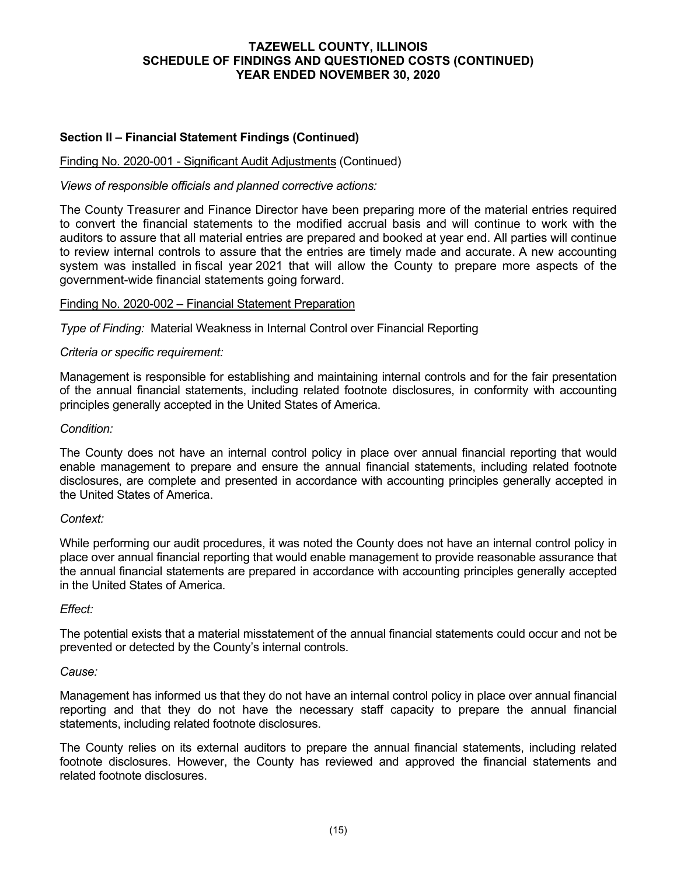# **Section II – Financial Statement Findings (Continued)**

## Finding No. 2020-001 - Significant Audit Adjustments (Continued)

## *Views of responsible officials and planned corrective actions:*

The County Treasurer and Finance Director have been preparing more of the material entries required to convert the financial statements to the modified accrual basis and will continue to work with the auditors to assure that all material entries are prepared and booked at year end. All parties will continue to review internal controls to assure that the entries are timely made and accurate. A new accounting system was installed in fiscal year 2021 that will allow the County to prepare more aspects of the government-wide financial statements going forward.

#### Finding No. 2020-002 – Financial Statement Preparation

*Type of Finding:* Material Weakness in Internal Control over Financial Reporting

## *Criteria or specific requirement:*

Management is responsible for establishing and maintaining internal controls and for the fair presentation of the annual financial statements, including related footnote disclosures, in conformity with accounting principles generally accepted in the United States of America.

#### *Condition:*

The County does not have an internal control policy in place over annual financial reporting that would enable management to prepare and ensure the annual financial statements, including related footnote disclosures, are complete and presented in accordance with accounting principles generally accepted in the United States of America.

#### *Context:*

While performing our audit procedures, it was noted the County does not have an internal control policy in place over annual financial reporting that would enable management to provide reasonable assurance that the annual financial statements are prepared in accordance with accounting principles generally accepted in the United States of America.

#### *Effect:*

The potential exists that a material misstatement of the annual financial statements could occur and not be prevented or detected by the County's internal controls.

#### *Cause:*

Management has informed us that they do not have an internal control policy in place over annual financial reporting and that they do not have the necessary staff capacity to prepare the annual financial statements, including related footnote disclosures.

The County relies on its external auditors to prepare the annual financial statements, including related footnote disclosures. However, the County has reviewed and approved the financial statements and related footnote disclosures.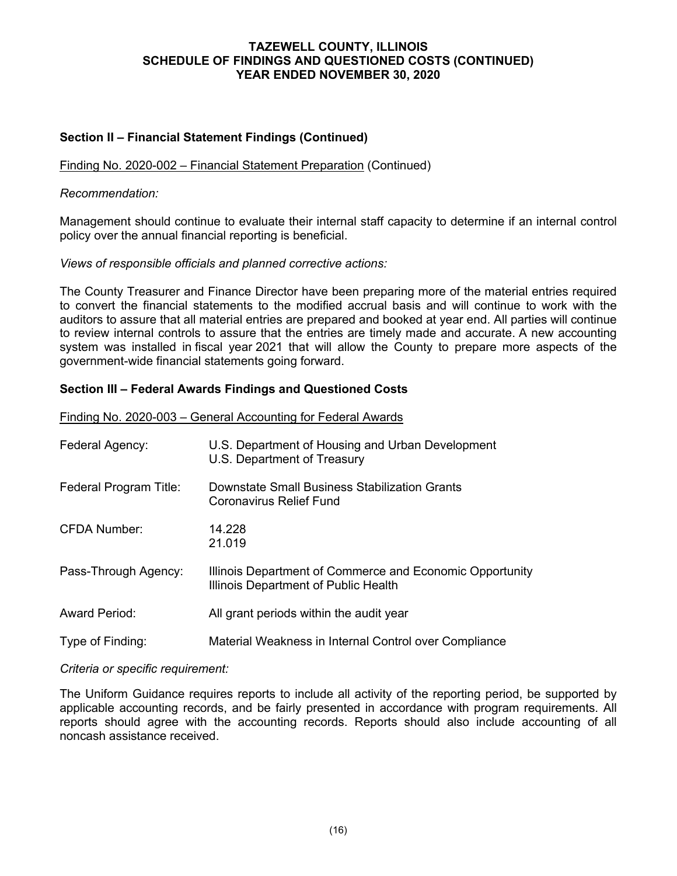# **Section II – Financial Statement Findings (Continued)**

#### Finding No. 2020-002 – Financial Statement Preparation (Continued)

#### *Recommendation:*

Management should continue to evaluate their internal staff capacity to determine if an internal control policy over the annual financial reporting is beneficial.

*Views of responsible officials and planned corrective actions:*

The County Treasurer and Finance Director have been preparing more of the material entries required to convert the financial statements to the modified accrual basis and will continue to work with the auditors to assure that all material entries are prepared and booked at year end. All parties will continue to review internal controls to assure that the entries are timely made and accurate. A new accounting system was installed in fiscal year 2021 that will allow the County to prepare more aspects of the government-wide financial statements going forward.

## **Section III – Federal Awards Findings and Questioned Costs**

|                        | Finding No. 2020-003 – General Accounting for Federal Awards                                     |
|------------------------|--------------------------------------------------------------------------------------------------|
| Federal Agency:        | U.S. Department of Housing and Urban Development<br>U.S. Department of Treasury                  |
| Federal Program Title: | Downstate Small Business Stabilization Grants<br>Coronavirus Relief Fund                         |
| <b>CFDA Number:</b>    | 14.228<br>21.019                                                                                 |
| Pass-Through Agency:   | Illinois Department of Commerce and Economic Opportunity<br>Illinois Department of Public Health |
| Award Period:          | All grant periods within the audit year                                                          |
| Type of Finding:       | Material Weakness in Internal Control over Compliance                                            |

*Criteria or specific requirement:*

The Uniform Guidance requires reports to include all activity of the reporting period, be supported by applicable accounting records, and be fairly presented in accordance with program requirements. All reports should agree with the accounting records. Reports should also include accounting of all noncash assistance received.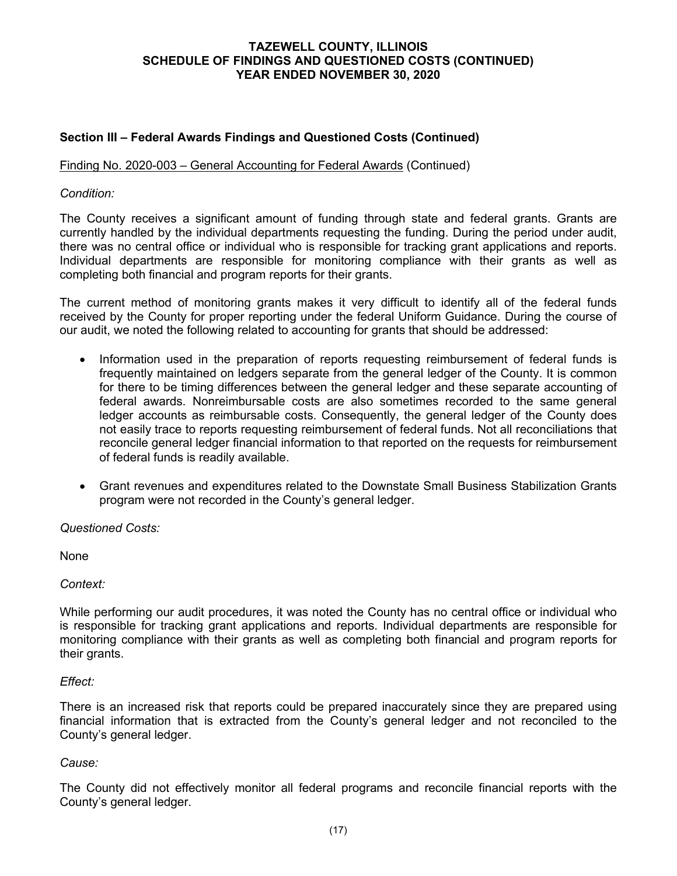# **Section III – Federal Awards Findings and Questioned Costs (Continued)**

## Finding No. 2020-003 – General Accounting for Federal Awards (Continued)

#### *Condition:*

The County receives a significant amount of funding through state and federal grants. Grants are currently handled by the individual departments requesting the funding. During the period under audit, there was no central office or individual who is responsible for tracking grant applications and reports. Individual departments are responsible for monitoring compliance with their grants as well as completing both financial and program reports for their grants.

The current method of monitoring grants makes it very difficult to identify all of the federal funds received by the County for proper reporting under the federal Uniform Guidance. During the course of our audit, we noted the following related to accounting for grants that should be addressed:

- Information used in the preparation of reports requesting reimbursement of federal funds is frequently maintained on ledgers separate from the general ledger of the County. It is common for there to be timing differences between the general ledger and these separate accounting of federal awards. Nonreimbursable costs are also sometimes recorded to the same general ledger accounts as reimbursable costs. Consequently, the general ledger of the County does not easily trace to reports requesting reimbursement of federal funds. Not all reconciliations that reconcile general ledger financial information to that reported on the requests for reimbursement of federal funds is readily available.
- Grant revenues and expenditures related to the Downstate Small Business Stabilization Grants program were not recorded in the County's general ledger.

*Questioned Costs:*

None

*Context:*

While performing our audit procedures, it was noted the County has no central office or individual who is responsible for tracking grant applications and reports. Individual departments are responsible for monitoring compliance with their grants as well as completing both financial and program reports for their grants.

#### *Effect:*

There is an increased risk that reports could be prepared inaccurately since they are prepared using financial information that is extracted from the County's general ledger and not reconciled to the County's general ledger.

# *Cause:*

The County did not effectively monitor all federal programs and reconcile financial reports with the County's general ledger.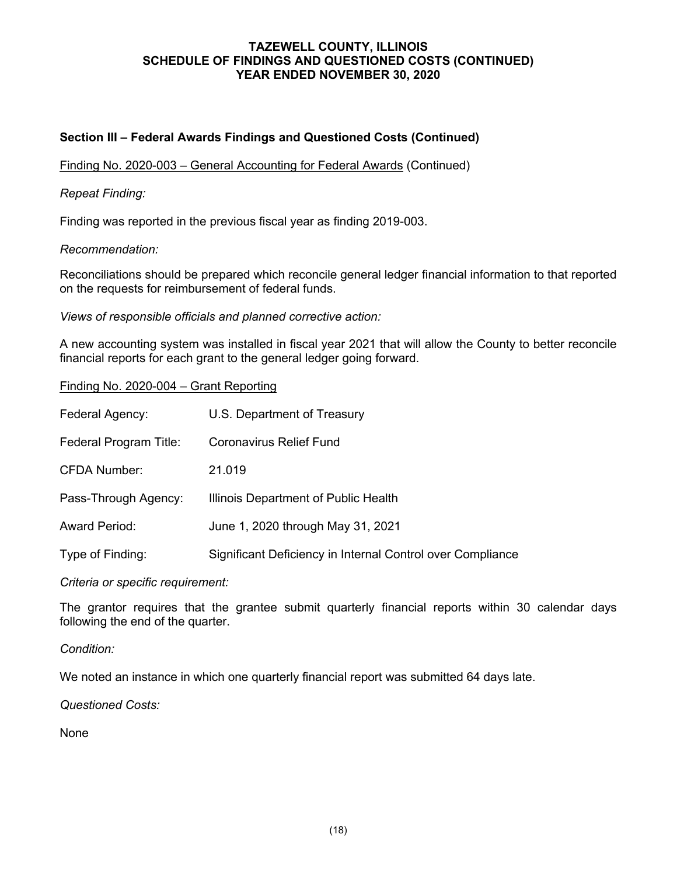# **Section III – Federal Awards Findings and Questioned Costs (Continued)**

Finding No. 2020-003 – General Accounting for Federal Awards (Continued)

## *Repeat Finding:*

Finding was reported in the previous fiscal year as finding 2019-003.

## *Recommendation:*

Reconciliations should be prepared which reconcile general ledger financial information to that reported on the requests for reimbursement of federal funds.

*Views of responsible officials and planned corrective action:*

A new accounting system was installed in fiscal year 2021 that will allow the County to better reconcile financial reports for each grant to the general ledger going forward.

#### Finding No. 2020-004 – Grant Reporting

| Federal Agency:        | U.S. Department of Treasury                                |
|------------------------|------------------------------------------------------------|
| Federal Program Title: | Coronavirus Relief Fund                                    |
| <b>CFDA Number:</b>    | 21.019                                                     |
| Pass-Through Agency:   | Illinois Department of Public Health                       |
| <b>Award Period:</b>   | June 1, 2020 through May 31, 2021                          |
| Type of Finding:       | Significant Deficiency in Internal Control over Compliance |

#### *Criteria or specific requirement:*

The grantor requires that the grantee submit quarterly financial reports within 30 calendar days following the end of the quarter.

#### *Condition:*

We noted an instance in which one quarterly financial report was submitted 64 days late.

*Questioned Costs:*

None